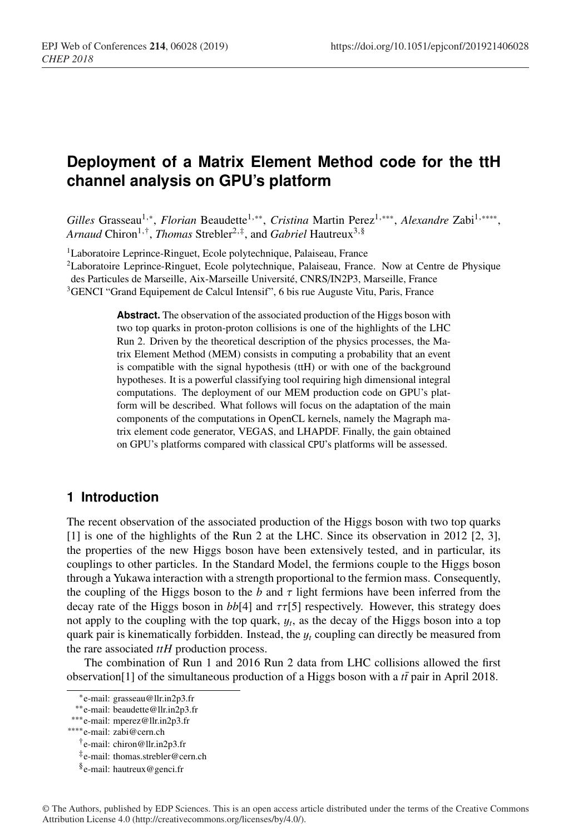# **Deployment of a Matrix Element Method code for the ttH channel analysis on GPU's platform**

*Gilles* Grasseau1,∗, *Florian* Beaudette1,∗∗, *Cristina* Martin Perez1,∗∗∗, *Alexandre* Zabi1,∗∗∗∗, Arnaud Chiron<sup>1,†</sup>, *Thomas* Strebler<sup>2,‡</sup>, and *Gabriel* Hautreux<sup>3,§</sup>

<sup>1</sup>Laboratoire Leprince-Ringuet, Ecole polytechnique, Palaiseau, France

2Laboratoire Leprince-Ringuet, Ecole polytechnique, Palaiseau, France. Now at Centre de Physique des Particules de Marseille, Aix-Marseille Université, CNRS/IN2P3, Marseille, France

<sup>3</sup>GENCI "Grand Equipement de Calcul Intensif", 6 bis rue Auguste Vitu, Paris, France

Abstract. The observation of the associated production of the Higgs boson with two top quarks in proton-proton collisions is one of the highlights of the LHC Run 2. Driven by the theoretical description of the physics processes, the Matrix Element Method (MEM) consists in computing a probability that an event is compatible with the signal hypothesis (ttH) or with one of the background hypotheses. It is a powerful classifying tool requiring high dimensional integral computations. The deployment of our MEM production code on GPU's platform will be described. What follows will focus on the adaptation of the main components of the computations in OpenCL kernels, namely the Magraph matrix element code generator, VEGAS, and LHAPDF. Finally, the gain obtained on GPU's platforms compared with classical CPU's platforms will be assessed.

### **1 Introduction**

The recent observation of the associated production of the Higgs boson with two top quarks [1] is one of the highlights of the Run 2 at the LHC. Since its observation in 2012 [2, 3], the properties of the new Higgs boson have been extensively tested, and in particular, its couplings to other particles. In the Standard Model, the fermions couple to the Higgs boson through a Yukawa interaction with a strength proportional to the fermion mass. Consequently, the coupling of the Higgs boson to the  $b$  and  $\tau$  light fermions have been inferred from the decay rate of the Higgs boson in  $bb[4]$  and  $\tau\tau[5]$  respectively. However, this strategy does not apply to the coupling with the top quark, y*t*, as the decay of the Higgs boson into a top quark pair is kinematically forbidden. Instead, the y*<sup>t</sup>* coupling can directly be measured from the rare associated *ttH* production process.

The combination of Run 1 and 2016 Run 2 data from LHC collisions allowed the first observation<sup>[1]</sup> of the simultaneous production of a Higgs boson with a *tt* pair in April 2018.

<sup>∗</sup>e-mail: grasseau@llr.in2p3.fr

<sup>∗∗</sup>e-mail: beaudette@llr.in2p3.fr

<sup>∗∗∗</sup>e-mail: mperez@llr.in2p3.fr

<sup>∗∗∗∗</sup>e-mail: zabi@cern.ch

<sup>†</sup>e-mail: chiron@llr.in2p3.fr

<sup>‡</sup>e-mail: thomas.strebler@cern.ch

<sup>§</sup>e-mail: hautreux@genci.fr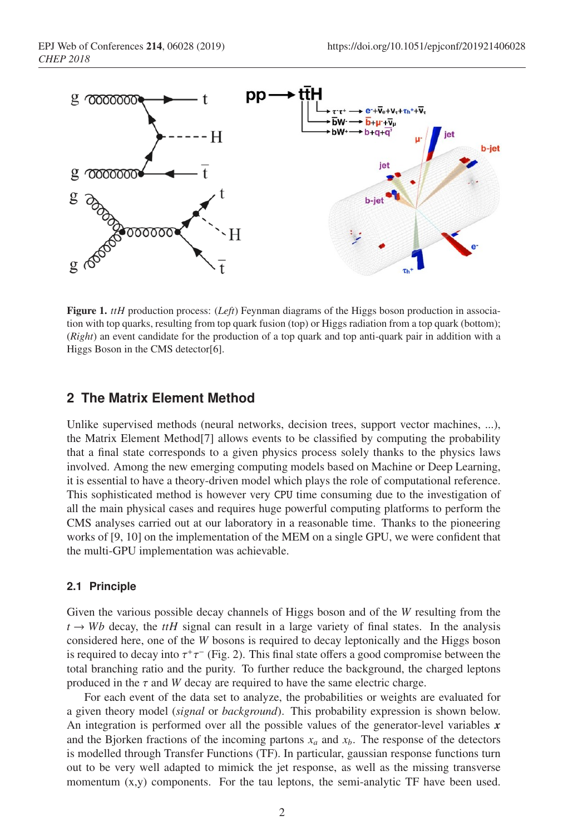

Figure 1. *ttH* production process: (*Left*) Feynman diagrams of the Higgs boson production in association with top quarks, resulting from top quark fusion (top) or Higgs radiation from a top quark (bottom); (*Right*) an event candidate for the production of a top quark and top anti-quark pair in addition with a Higgs Boson in the CMS detector[6].

### **2 The Matrix Element Method**

Unlike supervised methods (neural networks, decision trees, support vector machines, ...), the Matrix Element Method[7] allows events to be classified by computing the probability that a final state corresponds to a given physics process solely thanks to the physics laws involved. Among the new emerging computing models based on Machine or Deep Learning, it is essential to have a theory-driven model which plays the role of computational reference. This sophisticated method is however very CPU time consuming due to the investigation of all the main physical cases and requires huge powerful computing platforms to perform the CMS analyses carried out at our laboratory in a reasonable time. Thanks to the pioneering works of [9, 10] on the implementation of the MEM on a single GPU, we were confident that the multi-GPU implementation was achievable.

#### **2.1 Principle**

Given the various possible decay channels of Higgs boson and of the *W* resulting from the  $t \rightarrow Wb$  decay, the *ttH* signal can result in a large variety of final states. In the analysis considered here, one of the *W* bosons is required to decay leptonically and the Higgs boson is required to decay into  $\tau^+\tau^-$  (Fig. 2). This final state offers a good compromise between the total branching ratio and the purity. To further reduce the background, the charged leptons produced in the  $\tau$  and  $W$  decay are required to have the same electric charge.

For each event of the data set to analyze, the probabilities or weights are evaluated for a given theory model (*signal* or *background*). This probability expression is shown below. An integration is performed over all the possible values of the generator-level variables *x* and the Bjorken fractions of the incoming partons  $x_a$  and  $x_b$ . The response of the detectors is modelled through Transfer Functions (TF). In particular, gaussian response functions turn out to be very well adapted to mimick the jet response, as well as the missing transverse momentum  $(x,y)$  components. For the tau leptons, the semi-analytic TF have been used.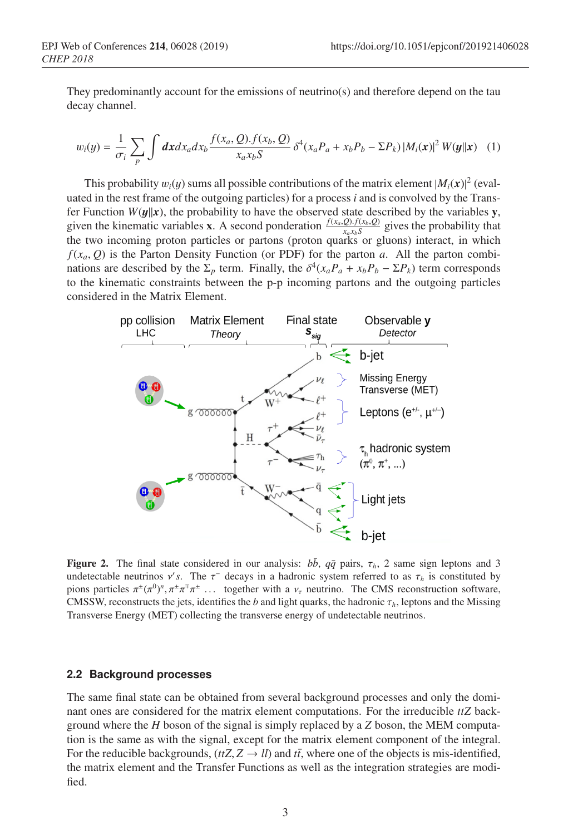They predominantly account for the emissions of neutrino(s) and therefore depend on the tau decay channel.

$$
w_i(y) = \frac{1}{\sigma_i} \sum_p \int dx dx_a dx_b \frac{f(x_a, Q). f(x_b, Q)}{x_a x_b S} \delta^4(x_a P_a + x_b P_b - \Sigma P_k) |M_i(\boldsymbol{x})|^2 W(\boldsymbol{y}||\boldsymbol{x}) \quad (1)
$$

This probability  $w_i(y)$  sums all possible contributions of the matrix element  $|M_i(x)|^2$  (evaluated in the rest frame of the outgoing particles) for a process *i* and is convolved by the Transfer Function  $W(y||x)$ , the probability to have the observed state described by the variables y, given the kinematic variables **x**. A second ponderation  $\frac{f(x_a, Q) \cdot f(x_b, Q)}{x_a x_b S}$  gives the probability that the two incoming proton particles or partons (proton quarks or gluons) interact, in which  $f(x_a, Q)$  is the Parton Density Function (or PDF) for the parton *a*. All the parton combinations are described by the  $\Sigma_p$  term. Finally, the  $\delta^4(x_a P_a + x_b P_b - \Sigma P_k)$  term corresponds to the kinematic constraints between the p-p incoming partons and the outgoing particles considered in the Matrix Element.



Figure 2. The final state considered in our analysis:  $b\bar{b}$ ,  $q\bar{q}$  pairs,  $\tau_h$ , 2 same sign leptons and 3 undetectable neutrinos  $v's$ . The  $\tau^-$  decays in a hadronic system referred to as  $\tau_h$  is constituted by pions particles  $\pi^{\pm}(\pi^0)^n$ ,  $\pi^{\pm}\pi^{\mp}\pi^{\pm}$  ... together with a  $v_{\tau}$  neutrino. The CMS reconstruction software, CMSSW, reconstructs the jets, identifies the *b* and light quarks, the hadronic  $\tau_h$ , leptons and the Missing Transverse Energy (MET) collecting the transverse energy of undetectable neutrinos.

#### **2.2 Background processes**

The same final state can be obtained from several background processes and only the dominant ones are considered for the matrix element computations. For the irreducible *ttZ* background where the *H* boson of the signal is simply replaced by a *Z* boson, the MEM computation is the same as with the signal, except for the matrix element component of the integral. For the reducible backgrounds,  $(ttZ, Z \rightarrow ll)$  and  $t\bar{t}$ , where one of the objects is mis-identified, the matrix element and the Transfer Functions as well as the integration strategies are modified.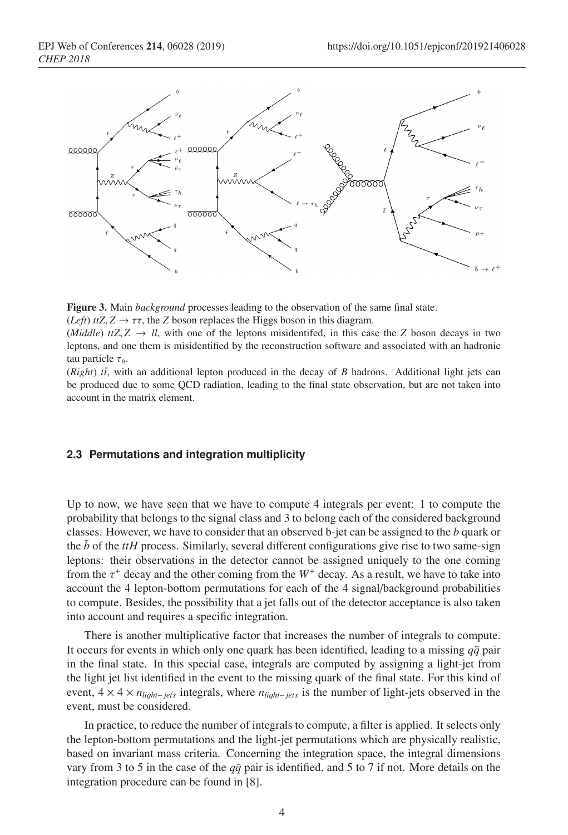



(*Left*)  $t \in Z$ ,  $Z \to \tau \tau$ , the *Z* boson replaces the Higgs boson in this diagram.

(*Middle*) *ttZ*,  $Z \rightarrow ll$ , with one of the leptons misidentifed, in this case the *Z* boson decays in two leptons, and one them is misidentified by the reconstruction software and associated with an hadronic tau particle τ*h*.

 $(Right)$   $t\bar{t}$ , with an additional lepton produced in the decay of *B* hadrons. Additional light jets can be produced due to some QCD radiation, leading to the final state observation, but are not taken into account in the matrix element.

#### **2.3 Permutations and integration multiplicity**

Up to now, we have seen that we have to compute 4 integrals per event: 1 to compute the probability that belongs to the signal class and 3 to belong each of the considered background classes. However, we have to consider that an observed b-jet can be assigned to the *b* quark or the  $\bar{b}$  of the *ttH* process. Similarly, several different configurations give rise to two same-sign leptons: their observations in the detector cannot be assigned uniquely to the one coming from the  $\tau^+$  decay and the other coming from the  $W^+$  decay. As a result, we have to take into account the 4 lepton-bottom permutations for each of the 4 signal/background probabilities to compute. Besides, the possibility that a jet falls out of the detector acceptance is also taken into account and requires a specific integration.

There is another multiplicative factor that increases the number of integrals to compute. It occurs for events in which only one quark has been identified, leading to a missing  $q\bar{q}$  pair in the final state. In this special case, integrals are computed by assigning a light-jet from the light jet list identified in the event to the missing quark of the final state. For this kind of event, 4 × 4 × *nli*<sup>g</sup>*ht*−*jets* integrals, where *nli*<sup>g</sup>*ht*−*jets* is the number of light-jets observed in the event, must be considered.

In practice, to reduce the number of integrals to compute, a filter is applied. It selects only the lepton-bottom permutations and the light-jet permutations which are physically realistic, based on invariant mass criteria. Concerning the integration space, the integral dimensions vary from 3 to 5 in the case of the  $q\bar{q}$  pair is identified, and 5 to 7 if not. More details on the integration procedure can be found in [8].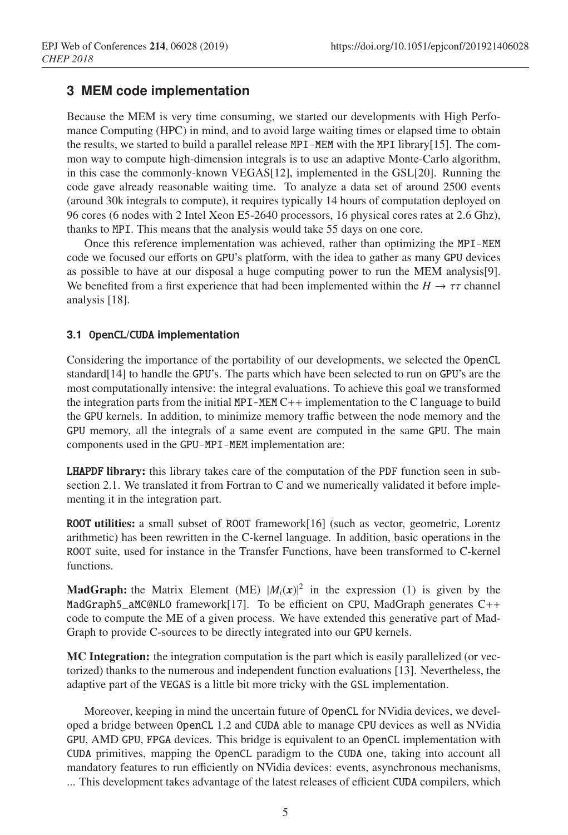# **3 MEM code implementation**

Because the MEM is very time consuming, we started our developments with High Perfomance Computing (HPC) in mind, and to avoid large waiting times or elapsed time to obtain the results, we started to build a parallel release MPI-MEM with the MPI library[15]. The common way to compute high-dimension integrals is to use an adaptive Monte-Carlo algorithm, in this case the commonly-known VEGAS[12], implemented in the GSL[20]. Running the code gave already reasonable waiting time. To analyze a data set of around 2500 events (around 30k integrals to compute), it requires typically 14 hours of computation deployed on 96 cores (6 nodes with 2 Intel Xeon E5-2640 processors, 16 physical cores rates at 2.6 Ghz), thanks to MPI. This means that the analysis would take 55 days on one core.

Once this reference implementation was achieved, rather than optimizing the MPI-MEM code we focused our efforts on GPU's platform, with the idea to gather as many GPU devices as possible to have at our disposal a huge computing power to run the MEM analysis[9]. We benefited from a first experience that had been implemented within the  $H \to \tau\tau$  channel analysis [18].

### **3.1** OpenCL**/**CUDA **implementation**

Considering the importance of the portability of our developments, we selected the OpenCL standard[14] to handle the GPU's. The parts which have been selected to run on GPU's are the most computationally intensive: the integral evaluations. To achieve this goal we transformed the integration parts from the initial MPI-MEM C++ implementation to the C language to build the GPU kernels. In addition, to minimize memory traffic between the node memory and the GPU memory, all the integrals of a same event are computed in the same GPU. The main components used in the GPU-MPI-MEM implementation are:

**LHAPDF library:** this library takes care of the computation of the PDF function seen in subsection 2.1. We translated it from Fortran to C and we numerically validated it before implementing it in the integration part.

ROOT utilities: a small subset of ROOT framework[16] (such as vector, geometric, Lorentz arithmetic) has been rewritten in the C-kernel language. In addition, basic operations in the ROOT suite, used for instance in the Transfer Functions, have been transformed to C-kernel functions.

**MadGraph:** the Matrix Element (ME)  $|M_i(x)|^2$  in the expression (1) is given by the MadGraph5\_aMC@NLO framework[17]. To be efficient on CPU, MadGraph generates C++ code to compute the ME of a given process. We have extended this generative part of Mad-Graph to provide C-sources to be directly integrated into our GPU kernels.

MC Integration: the integration computation is the part which is easily parallelized (or vectorized) thanks to the numerous and independent function evaluations [13]. Nevertheless, the adaptive part of the VEGAS is a little bit more tricky with the GSL implementation.

Moreover, keeping in mind the uncertain future of OpenCL for NVidia devices, we developed a bridge between OpenCL 1.2 and CUDA able to manage CPU devices as well as NVidia GPU, AMD GPU, FPGA devices. This bridge is equivalent to an OpenCL implementation with CUDA primitives, mapping the OpenCL paradigm to the CUDA one, taking into account all mandatory features to run efficiently on NVidia devices: events, asynchronous mechanisms, ... This development takes advantage of the latest releases of efficient CUDA compilers, which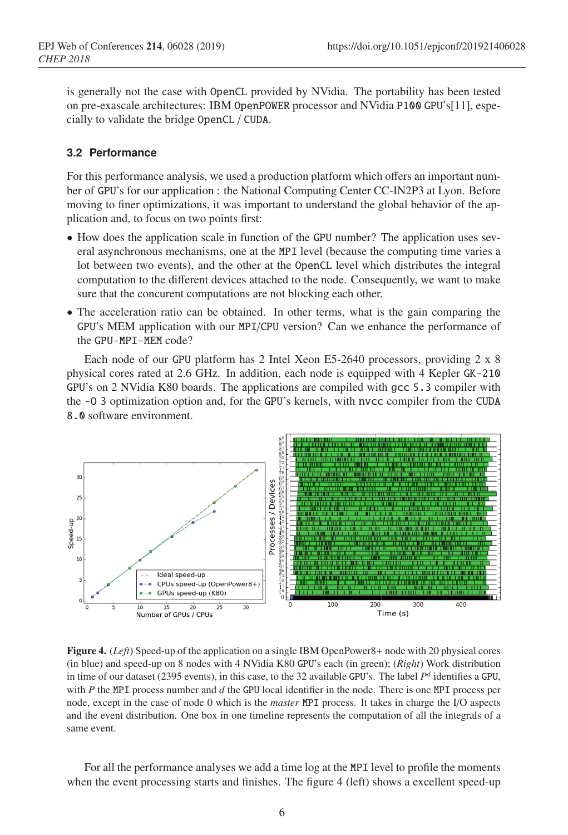is generally not the case with OpenCL provided by NVidia. The portability has been tested on pre-exascale architectures: IBM OpenPOWER processor and NVidia P100 GPU's[11], especially to validate the bridge OpenCL / CUDA.

#### **3.2 Performance**

For this performance analysis, we used a production platform which offers an important number of GPU's for our application : the National Computing Center CC-IN2P3 at Lyon. Before moving to finer optimizations, it was important to understand the global behavior of the application and, to focus on two points first:

- How does the application scale in function of the GPU number? The application uses several asynchronous mechanisms, one at the MPI level (because the computing time varies a lot between two events), and the other at the OpenCL level which distributes the integral computation to the different devices attached to the node. Consequently, we want to make sure that the concurent computations are not blocking each other.
- The acceleration ratio can be obtained. In other terms, what is the gain comparing the GPU's MEM application with our MPI/CPU version? Can we enhance the performance of the GPU-MPI-MEM code?

Each node of our GPU platform has 2 Intel Xeon E5-2640 processors, providing 2 x 8 physical cores rated at 2.6 GHz. In addition, each node is equipped with 4 Kepler GK-210 GPU's on 2 NVidia K80 boards. The applications are compiled with gcc 5.3 compiler with the -O 3 optimization option and, for the GPU's kernels, with nvcc compiler from the CUDA 8.0 software environment.



Figure 4. (*Left*) Speed-up of the application on a single IBM OpenPower8+ node with 20 physical cores (in blue) and speed-up on 8 nodes with 4 NVidia K80 GPU's each (in green); (*Right*) Work distribution in time of our dataset (2395 events), in this case, to the 32 available GPU's. The label  $P<sup>d</sup>$  identifies a GPU, with *P* the MPI process number and *d* the GPU local identifier in the node. There is one MPI process per node, except in the case of node 0 which is the *master* MPI process. It takes in charge the I/O aspects and the event distribution. One box in one timeline represents the computation of all the integrals of a same event.

For all the performance analyses we add a time log at the MPI level to profile the moments when the event processing starts and finishes. The figure 4 (left) shows a excellent speed-up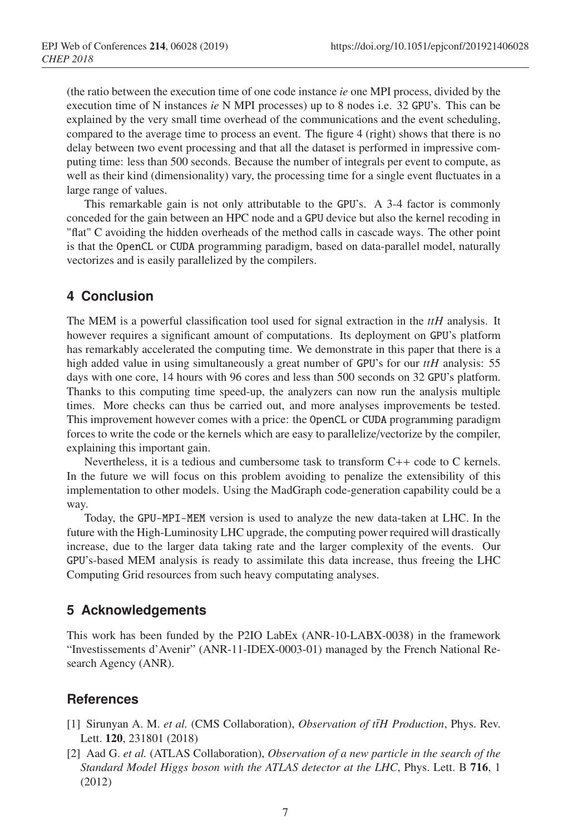(the ratio between the execution time of one code instance *ie* one MPI process, divided by the execution time of N instances *ie* N MPI processes) up to 8 nodes i.e. 32 GPU's. This can be explained by the very small time overhead of the communications and the event scheduling, compared to the average time to process an event. The figure 4 (right) shows that there is no delay between two event processing and that all the dataset is performed in impressive computing time: less than 500 seconds. Because the number of integrals per event to compute, as well as their kind (dimensionality) vary, the processing time for a single event fluctuates in a large range of values.

This remarkable gain is not only attributable to the GPU's. A 3-4 factor is commonly conceded for the gain between an HPC node and a GPU device but also the kernel recoding in "flat" C avoiding the hidden overheads of the method calls in cascade ways. The other point is that the OpenCL or CUDA programming paradigm, based on data-parallel model, naturally vectorizes and is easily parallelized by the compilers.

# **4 Conclusion**

The MEM is a powerful classification tool used for signal extraction in the *ttH* analysis. It however requires a significant amount of computations. Its deployment on GPU's platform has remarkably accelerated the computing time. We demonstrate in this paper that there is a high added value in using simultaneously a great number of GPU's for our *ttH* analysis: 55 days with one core, 14 hours with 96 cores and less than 500 seconds on 32 GPU's platform. Thanks to this computing time speed-up, the analyzers can now run the analysis multiple times. More checks can thus be carried out, and more analyses improvements be tested. This improvement however comes with a price: the OpenCL or CUDA programming paradigm forces to write the code or the kernels which are easy to parallelize/vectorize by the compiler, explaining this important gain.

Nevertheless, it is a tedious and cumbersome task to transform C++ code to C kernels. In the future we will focus on this problem avoiding to penalize the extensibility of this implementation to other models. Using the MadGraph code-generation capability could be a way.

Today, the GPU-MPI-MEM version is used to analyze the new data-taken at LHC. In the future with the High-Luminosity LHC upgrade, the computing power required will drastically increase, due to the larger data taking rate and the larger complexity of the events. Our GPU's-based MEM analysis is ready to assimilate this data increase, thus freeing the LHC Computing Grid resources from such heavy computating analyses.

# **5 Acknowledgements**

This work has been funded by the P2IO LabEx (ANR-10-LABX-0038) in the framework "Investissements d'Avenir" (ANR-11-IDEX-0003-01) managed by the French National Research Agency (ANR).

# **References**

- [1] Sirunyan A. M. *et al.* (CMS Collaboration), *Observation of ttH Production*, Phys. Rev. Lett. 120, 231801 (2018)
- [2] Aad G. *et al.* (ATLAS Collaboration), *Observation of a new particle in the search of the Standard Model Higgs boson with the ATLAS detector at the LHC*, Phys. Lett. B 716, 1 (2012)